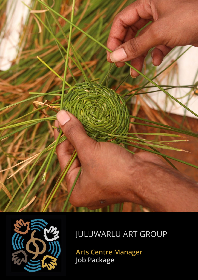



# JULUWARLU ART GROUP

**Arts Centre Manager Job Package**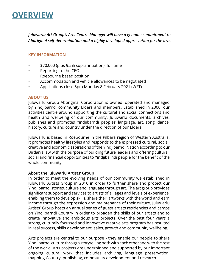## **OVERVIEW**

*Juluwarlu Art Group's Arts Centre Manager will have a genuine commitment to Aboriginal self-determination and a highly developed appreciation for the arts.* 

## **KEY INFORMATION**

- \$70,000 (plus 9.5% suprannuation), full time
- Reporting to the CEO
- Roebourne based position
- Accommodation and vehicle allowances to be negotiated
- Applications close 5pm Monday 8 February 2021 (WST)

#### **ABOUT US**

Juluwarlu Group Aboriginal Corporation is owned, operated and managed by Yindjibarndi community Elders and members. Established in 2000, our activities centre around supporting the cultural and social connections and health and wellbeing of our community. Juluwarlu documents, archives, publishes and promotes Yindjibarndi peoples' language, art, song, dance, history, culture and country under the direction of our Elders.

Juluwarlu is based in Roebourne in the Pilbara region of Western Australia. It promotes healthy lifestyles and responds to the expressed cultural, social, creative and economic aspirations of the Yindjibarndi Nation according to our Birdarra law with the purpose of building future leaders and offering cultural, social and financial opportunities to Yindjibarndi people for the benefit of the whole community.

#### **About the Juluwarlu Artists' Group**

In order to meet the evolving needs of our community we established in Juluwarlu Artists Group in 2016 in order to further share and protect our Yindjibarndi stories, culture and language through art. The art group provides significant support and services to artists of all ages and levels of experience, enabling them to develop skills, share their artworks with the world and earn income through the expression and maintenance of their culture. Juluwarlu Artists' Group hosts an annual series of guest artists residencies and camps on Yindjibarndi Country in order to broaden the skills of our artists and to create innovative and ambitious arts projects. Over the past four years a strong, culturally focussed and innovative creative arts program has resulted in real success, skills development, sales, growth and community wellbeing.

Arts projects are central to our purpose - they enable our people to share Yindjibarndi culture through storytelling both with each other and with the rest of the world. Arts projects are underpinned and supported by our important ongoing cultural work that includes archiving, language preservation, mapping Country, publishing, community development and research.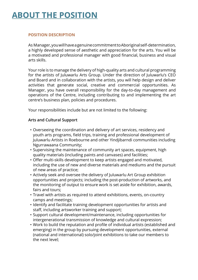## **ABOUT THE POSITION**

## **POSITION DESCRIPTION**

As Manager, you will have a genuine commitment to Aboriginal self-determination, a highly developed sense of aesthetic and appreciation for the arts. You will be a motivated and professional manager with good financial, business and visual arts skills.

Your role is to manage the delivery of high-quality arts and cultural programming for the artists of Juluwarlu Arts Group. Under the direction of Juluwarlu's CEO and Board and in collaboration with the artists, you will help design and deliver activities that generate social, creative and commercial opportunities. As Manager, you have overall responsibility for the day-to-day management and operations of the Centre, including contributing to and implementing the art centre's business plan, policies and procedures.

Your responsibilities include but are not limited to the following:

## **Arts and Cultural Support**

- Overseeing the coordination and delivery of art services, residency and youth arts programs, field trips, training and professional development of Juluwarlu Artists in Roebourne and other Yindjibarndi communities including Ngurrawaana Community;
- Supervising the maintenance of community art spaces, equipment, high quality materials (including paints and canvases) and facilities;
- Offer multi-skills development to keep artists engaged and motivated, including the use of new and diverse materials and mediums and the pursuit of new areas of practice;
- Actively seek and oversee the delivery of Juluwarlu Art Group exhibition opportunities and projects; including the post-production of artworks, and the monitoring of output to ensure work is set aside for exhibition, awards, fairs and tours;
- Travel with artists as required to attend exhibitions, events, on-country camps and meetings;
- Identify and facilitate training development opportunities for artists and staff, including artsworker training and support;
- Support cultural development/maintenance, including opportunities for intergenerational transmission of knowledge and cultural expression;
- Work to build the reputation and profile of individual artists (established and emerging) in the group by pursuing development opportunities, external (national and international) solo/joint exhibitions to take our members to the next level;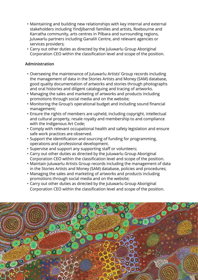- Maintaining and building new relationships with key internal and external stakeholders including Yindjibarndi families and artists, Roebourne and Karratha community, arts centres in Pilbara and surrounding regions, Juluwarlu partners including Ganalili Centre, and relevant agencies or services providers;
- Carry out other duties as directed by the Juluwarlu Group Aboriginal Corporation CEO within the classification level and scope of the position.

## **Administration**

- Overseeing the maintenance of Juluwarlu Artists' Group records including the management of data in the Stories Artists and Money (SAM) database, good quality documentation of artworks and stories through photographs and oral histories and diligent cataloguing and tracing of artworks.
- Managing the sales and marketing of artworks and products including promotions through social media and on the website;
- Monitoring the Group's operational budget and including sound financial management;
- Ensure the rights of members are upheld, including copyright, intellectual and cultural property, resale royalty and membership to and compliance with the Indigenous Art Code;
- Comply with relevant occupational health and safety legislation and ensure safe work practices are observed.
- Support the identification and sourcing of funding for programming, operations and professional development.
- Supervise and support any supporting staff or volunteers;
- Carry out other duties as directed by the Juluwarlu Group Aboriginal Corporation CEO within the classification level and scope of the position.
- Maintain Juluwarlu Artists Group records including the management of data in the Stories Artists and Money (SAM) database, policies and procedures;
- Managing the sales and marketing of artworks and products including promotions through social media and on the website;
- Carry out other duties as directed by the Juluwarlu Group Aboriginal Corporation CEO within the classification level and scope of the position.

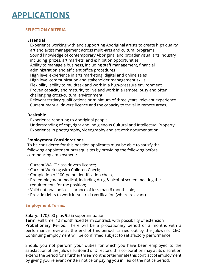## **APPLICATIONS**

## **SELECTION CRITERIA**

## **Essential**

- Experience working with and supporting Aboriginal artists to create high quality art and artist management across multi-arts and cultural programs
- Sound knowledge of contemporary Aboriginal and broader visual arts industry including prizes, art markets, and exhibition opportunities
- Ability to manage a business, including staff management, financial administration and efficient office procedures
- High level experience in arts marketing, digital and online sales
- High level communication and stakeholder management skills
- Flexibility, ability to multitask and work in a high-pressure environment
- Proven capacity and maturity to live and work in a remote, busy and often challenging cross-cultural environment.
- Relevant tertiary qualifications or minimum of three years' relevant experience
- Current manual drivers' licence and the capacity to travel in remote areas.

## **Desirable**

- Experience reporting to Aboriginal people
- Understanding of copyright and Indigienous Cultural and Intellectual Property
- Experience in photography, videography and artwork documentation

## **Employment Considerations**

To be considered for this position applicants must be able to satisfy the following appointment prerequisites by providing the following before commencing employment:

- Current WA 'C' class driver's licence;
- Current Working with Children Check;
- Completion of 100-point identification check;
- Pre-employment medical, including drug & alcohol screen meeting the requirements for the position:
- Valid national police clearance of less than 6 months old;
- Provide rights to work in Australia verification (where relevant)

## **Employment Terms:**

**Salary:** \$70,000 plus 9.5% superannuation

**Term:** Full time, 12 month fixed term contract, with possibility of extension **Probationary Period:** There will be a probationary period of 3 months with a performance review at the end of this period, carried out by the Juluwarlu CEO. Continuing employment will be confirmed subject to satisfactory performance.

Should you not perform your duties for which you have been employed to the satisfaction of the Juluwarlu Board of Directors, this corporation may at its discretion extend the period for a further three months or terminate this contract of employment by giving you relevant written notice or paying you in lieu of the notice period.